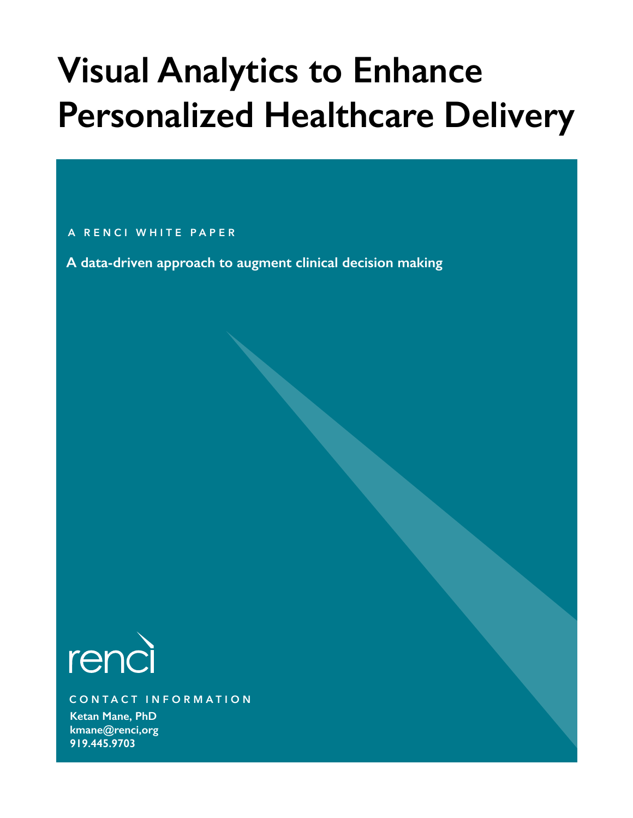# **Visual Analytics to Enhance Personalized Healthcare Delivery**

## **A RENCI WHITE PAPER**

**A data-driven approach to augment clinical decision making**



**CONTACT INFORMATION**

**Ketan Mane, PhD kmane@renci,org 919.445.9703**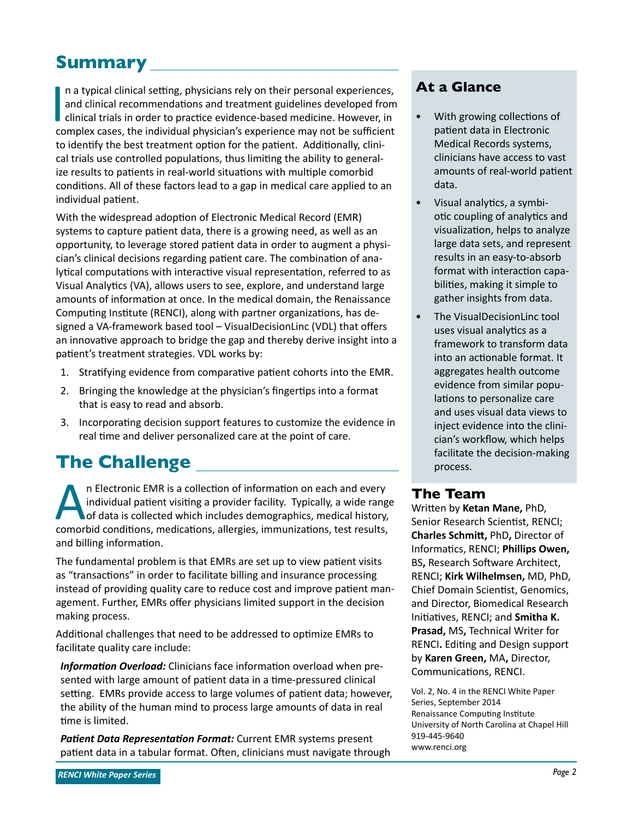# **Summary**

**I** n a typical clinical setting, physicians rely on their personal experiences, and clinical recommendations and treatment guidelines developed from clinical trials in order to practice evidence-based medicine. However, in complex cases, the individual physician's experience may not be sufficient to identify the best treatment option for the patient. Additionally, clinical trials use controlled populations, thus limiting the ability to generalize results to patients in real-world situations with multiple comorbid conditions. All of these factors lead to a gap in medical care applied to an individual patient.

With the widespread adoption of Electronic Medical Record (EMR) systems to capture patient data, there is a growing need, as well as an opportunity, to leverage stored patient data in order to augment a physician's clinical decisions regarding patient care. The combination of analytical computations with interactive visual representation, referred to as Visual Analytics (VA), allows users to see, explore, and understand large amounts of information at once. In the medical domain, the Renaissance Computing Institute (RENCI), along with partner organizations, has designed a VA-framework based tool – VisualDecisionLinc (VDL) that offers an innovative approach to bridge the gap and thereby derive insight into a patient's treatment strategies. VDL works by:

- 1. Stratifying evidence from comparative patient cohorts into the EMR.
- 2. Bringing the knowledge at the physician's fingertips into a format that is easy to read and absorb.
- 3. Incorporating decision support features to customize the evidence in real time and deliver personalized care at the point of care.

# **The Challenge**

An Electronic EMR is a collection of information on each and every<br>individual patient visiting a provider facility. Typically, a wide rang<br>of data is collected which includes demographics, medical history,<br>comorbid conditi individual patient visiting a provider facility. Typically, a wide range of data is collected which includes demographics, medical history, comorbid conditions, medications, allergies, immunizations, test results, and billing information.

The fundamental problem is that EMRs are set up to view patient visits as "transactions" in order to facilitate billing and insurance processing instead of providing quality care to reduce cost and improve patient management. Further, EMRs offer physicians limited support in the decision making process.

Additional challenges that need to be addressed to optimize EMRs to facilitate quality care include:

*Information Overload:* Clinicians face information overload when presented with large amount of patient data in a time-pressured clinical setting. EMRs provide access to large volumes of patient data; however, the ability of the human mind to process large amounts of data in real time is limited.

*Patient Data Representation Format:* Current EMR systems present patient data in a tabular format. Often, clinicians must navigate through

# **At a Glance**

- With growing collections of patient data in Electronic Medical Records systems, clinicians have access to vast amounts of real-world patient data.
- Visual analytics, a symbiotic coupling of analytics and visualization, helps to analyze large data sets, and represent results in an easy-to-absorb format with interaction capabilities, making it simple to gather insights from data.
- The VisualDecisionLinc tool uses visual analytics as a framework to transform data into an actionable format. It aggregates health outcome evidence from similar populations to personalize care and uses visual data views to inject evidence into the clinician's workflow, which helps facilitate the decision-making process.

## **The Team**

Written by **Ketan Mane,** PhD, Senior Research Scientist, RENCI; **Charles Schmitt,** PhD**,** Director of Informatics, RENCI; **Phillips Owen,**  BS**,** Research Software Architect, RENCI; **Kirk Wilhelmsen,** MD, PhD, Chief Domain Scientist, Genomics, and Director, Biomedical Research Initiatives, RENCI; and **Smitha K. Prasad,** MS**,** Technical Writer for RENCI**.** Editing and Design support by **Karen Green,** MA**,** Director, Communications, RENCI.

Vol. 2, No. 4 in the RENCI White Paper Series, September 2014 Renaissance Computing Institute University of North Carolina at Chapel Hill 919-445-9640 www.renci.org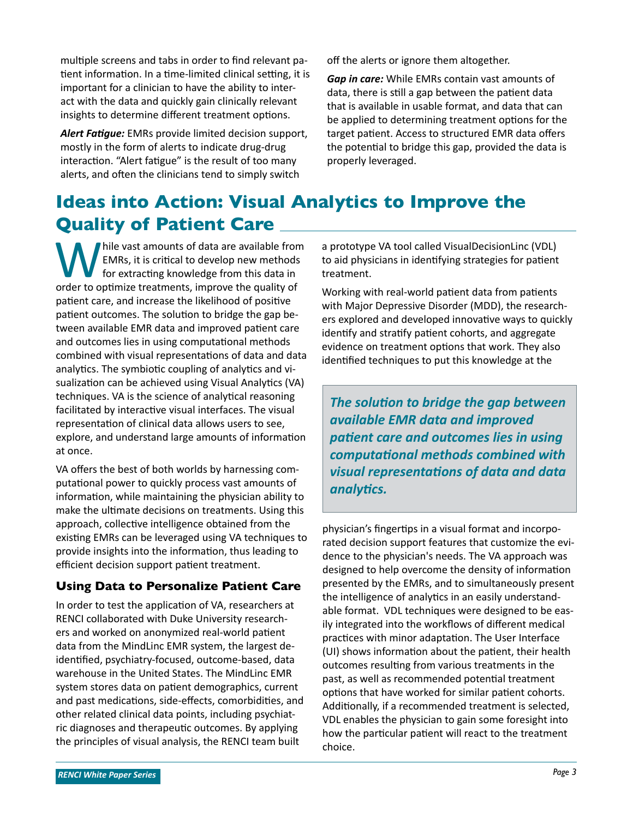multiple screens and tabs in order to find relevant patient information. In a time-limited clinical setting, it is important for a clinician to have the ability to interact with the data and quickly gain clinically relevant insights to determine different treatment options.

*Alert Fatigue:* EMRs provide limited decision support, mostly in the form of alerts to indicate drug-drug interaction. "Alert fatigue" is the result of too many alerts, and often the clinicians tend to simply switch

off the alerts or ignore them altogether.

*Gap in care:* While EMRs contain vast amounts of data, there is still a gap between the patient data that is available in usable format, and data that can be applied to determining treatment options for the target patient. Access to structured EMR data offers the potential to bridge this gap, provided the data is properly leveraged.

# **Ideas into Action: Visual Analytics to Improve the Quality of Patient Care**

hile vast amounts of data are available from EMRs, it is critical to develop new methods for extracting knowledge from this data in order to optimize treatments, improve the quality of patient care, and increase the likelihood of positive patient outcomes. The solution to bridge the gap between available EMR data and improved patient care and outcomes lies in using computational methods combined with visual representations of data and data analytics. The symbiotic coupling of analytics and visualization can be achieved using Visual Analytics (VA) techniques. VA is the science of analytical reasoning facilitated by interactive visual interfaces. The visual representation of clinical data allows users to see, explore, and understand large amounts of information at once.

VA offers the best of both worlds by harnessing computational power to quickly process vast amounts of information, while maintaining the physician ability to make the ultimate decisions on treatments. Using this approach, collective intelligence obtained from the existing EMRs can be leveraged using VA techniques to provide insights into the information, thus leading to efficient decision support patient treatment.

## **Using Data to Personalize Patient Care**

In order to test the application of VA, researchers at RENCI collaborated with Duke University researchers and worked on anonymized real-world patient data from the MindLinc EMR system, the largest deidentified, psychiatry-focused, outcome-based, data warehouse in the United States. The MindLinc EMR system stores data on patient demographics, current and past medications, side-effects, comorbidities, and other related clinical data points, including psychiatric diagnoses and therapeutic outcomes. By applying the principles of visual analysis, the RENCI team built

a prototype VA tool called VisualDecisionLinc (VDL) to aid physicians in identifying strategies for patient treatment.

Working with real-world patient data from patients with Major Depressive Disorder (MDD), the researchers explored and developed innovative ways to quickly identify and stratify patient cohorts, and aggregate evidence on treatment options that work. They also identified techniques to put this knowledge at the

*The solution to bridge the gap between available EMR data and improved patient care and outcomes lies in using computational methods combined with visual representations of data and data analytics.*

physician's fingertips in a visual format and incorporated decision support features that customize the evidence to the physician's needs. The VA approach was designed to help overcome the density of information presented by the EMRs, and to simultaneously present the intelligence of analytics in an easily understandable format. VDL techniques were designed to be easily integrated into the workflows of different medical practices with minor adaptation. The User Interface (UI) shows information about the patient, their health outcomes resulting from various treatments in the past, as well as recommended potential treatment options that have worked for similar patient cohorts. Additionally, if a recommended treatment is selected, VDL enables the physician to gain some foresight into how the particular patient will react to the treatment choice.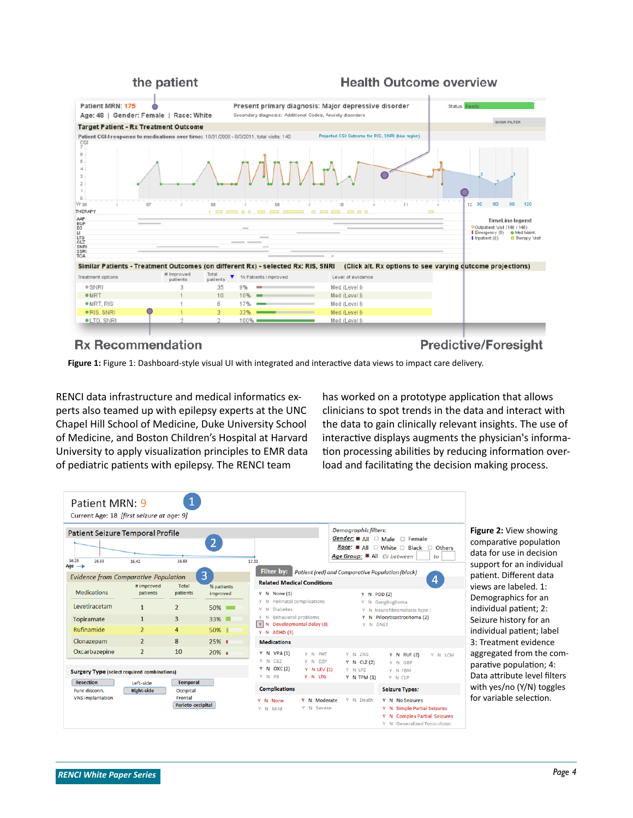#### the patient

#### **Health Outcome overview**



#### **Rx Recommendation**

**Predictive/Foresight** 

**Figure 1:** Figure 1: Dashboard-style visual UI with integrated and interactive data views to impact care delivery.

RENCI data infrastructure and medical informatics experts also teamed up with epilepsy experts at the UNC Chapel Hill School of Medicine, Duke University School of Medicine, and Boston Children's Hospital at Harvard University to apply visualization principles to EMR data of pediatric patients with epilepsy. The RENCI team

has worked on a prototype application that allows clinicians to spot trends in the data and interact with the data to gain clinically relevant insights. The use of interactive displays augments the physician's information processing abilities by reducing information overload and facilitating the decision making process.



**Figure 2:** View showing comparative population data for use in decision support for an individual patient. Different data views are labeled. 1: Demographics for an individual patient; 2: Seizure history for an individual patient; label 3: Treatment evidence aggregated from the comparative population; 4: Data attribute level filters with yes/no (Y/N) toggles for variable selection.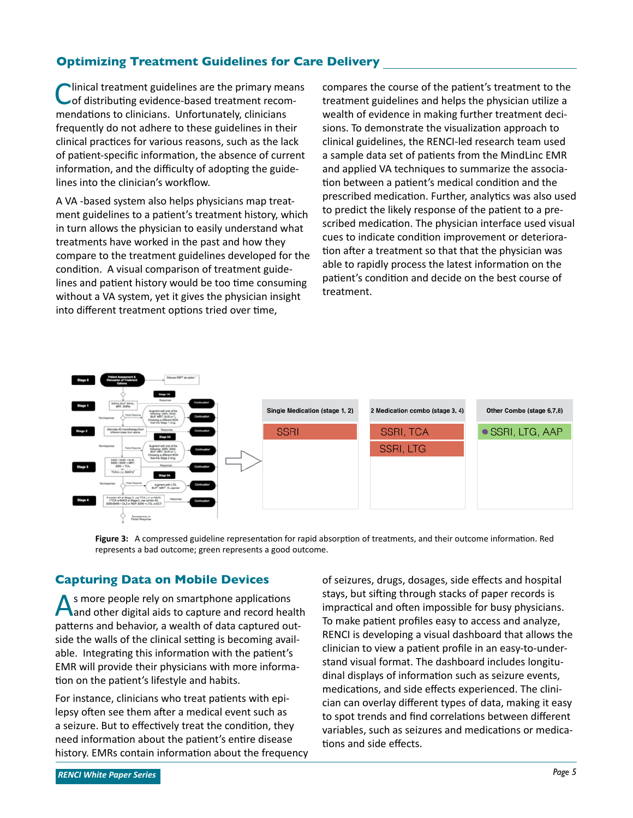## **Optimizing Treatment Guidelines for Care Delivery**

Inical treatment guidelines are the primary means of distributing evidence-based treatment recommendations to clinicians. Unfortunately, clinicians frequently do not adhere to these guidelines in their clinical practices for various reasons, such as the lack of patient-specific information, the absence of current information, and the difficulty of adopting the guidelines into the clinician's workflow.

A VA -based system also helps physicians map treatment guidelines to a patient's treatment history, which in turn allows the physician to easily understand what treatments have worked in the past and how they compare to the treatment guidelines developed for the condition. A visual comparison of treatment guidelines and patient history would be too time consuming without a VA system, yet it gives the physician insight into different treatment options tried over time,

compares the course of the patient's treatment to the treatment guidelines and helps the physician utilize a wealth of evidence in making further treatment decisions. To demonstrate the visualization approach to clinical guidelines, the RENCI-led research team used a sample data set of patients from the MindLinc EMR and applied VA techniques to summarize the association between a patient's medical condition and the prescribed medication. Further, analytics was also used to predict the likely response of the patient to a prescribed medication. The physician interface used visual cues to indicate condition improvement or deterioration after a treatment so that that the physician was able to rapidly process the latest information on the patient's condition and decide on the best course of treatment.



**Figure 3:** A compressed guideline representation for rapid absorption of treatments, and their outcome information. Red represents a bad outcome; green represents a good outcome.

## **Capturing Data on Mobile Devices**

As more people rely on smartphone applications<br>And other digital aids to capture and record health patterns and behavior, a wealth of data captured outside the walls of the clinical setting is becoming available. Integrating this information with the patient's EMR will provide their physicians with more information on the patient's lifestyle and habits.

For instance, clinicians who treat patients with epilepsy often see them after a medical event such as a seizure. But to effectively treat the condition, they need information about the patient's entire disease history. EMRs contain information about the frequency

of seizures, drugs, dosages, side effects and hospital stays, but sifting through stacks of paper records is impractical and often impossible for busy physicians. To make patient profiles easy to access and analyze, RENCI is developing a visual dashboard that allows the clinician to view a patient profile in an easy-to-understand visual format. The dashboard includes longitudinal displays of information such as seizure events, medications, and side effects experienced. The clinician can overlay different types of data, making it easy to spot trends and find correlations between different variables, such as seizures and medications or medications and side effects.